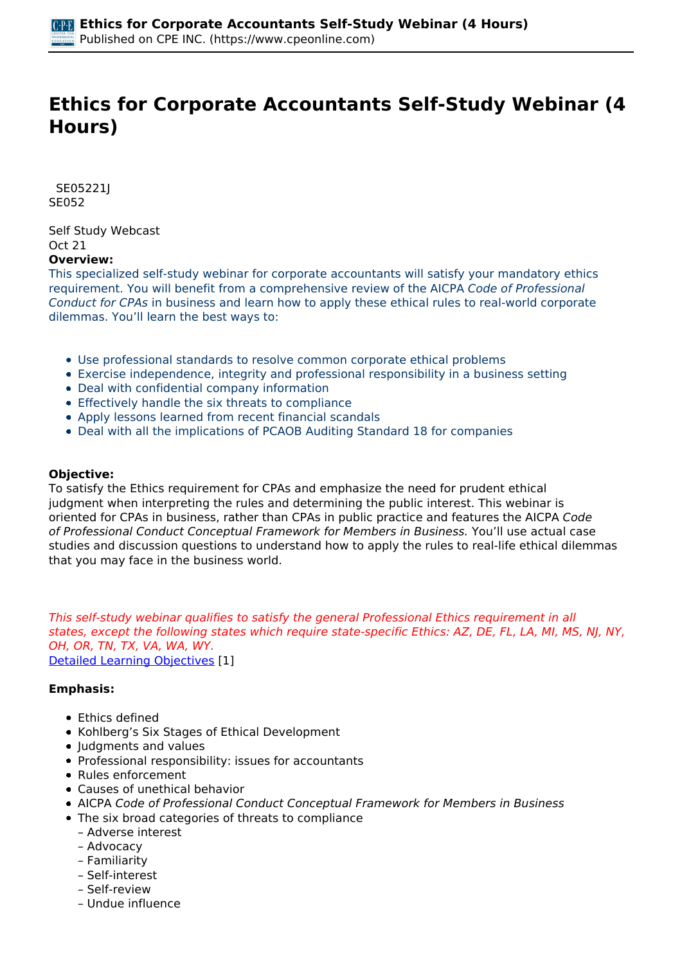# **Ethics for Corporate Accountants Self-Study Webinar (4 Hours)**

 *SE05221J SE052* 

*Self Study Webcast Oct 21*  **Overview:** 

#### *This specialized self-study webinar for corporate accountants will satisfy your mandatory ethics requirement. You will benefit from a comprehensive review of the AICPA Code of Professional Conduct for CPAs in business and learn how to apply these ethical rules to real-world corporate dilemmas. You'll learn the best ways to:*

- *Use professional standards to resolve common corporate ethical problems*
- *Exercise independence, integrity and professional responsibility in a business setting*
- *Deal with confidential company information*
- *Effectively handle the six threats to compliance*
- *Apply lessons learned from recent financial scandals*
- *Deal with all the implications of PCAOB Auditing Standard 18 for companies*

## **Objective:**

*To satisfy the Ethics requirement for CPAs and emphasize the need for prudent ethical judgment when interpreting the rules and determining the public interest. This webinar is oriented for CPAs in business, rather than CPAs in public practice and features the AICPA Code of Professional Conduct Conceptual Framework for Members in Business. You'll use actual case studies and discussion questions to understand how to apply the rules to real-life ethical dilemmas that you may face in the business world.*

*This self-study webinar qualifies to satisfy the general Professional Ethics requirement in all states, except the following states which require state-specific Ethics: AZ, DE, FL, LA, MI, MS, NJ, NY, OH, OR, TN, TX, VA, WA, WY. [Detailed Learning Objectives](https://www.cpeonline.com/JavaScript:showObjectivesPopup();) [1]*

#### **Emphasis:**

- *Ethics defined*
- *Kohlberg's Six Stages of Ethical Development*
- *Judgments and values*
- *Professional responsibility: issues for accountants*
- *Rules enforcement*
- *Causes of unethical behavior*
- *AICPA Code of Professional Conduct Conceptual Framework for Members in Business*
- *The six broad categories of threats to compliance*
- *Adverse interest*
- *Advocacy*
- *Familiarity*
- *Self-interest*
- *Self-review*
- *Undue influence*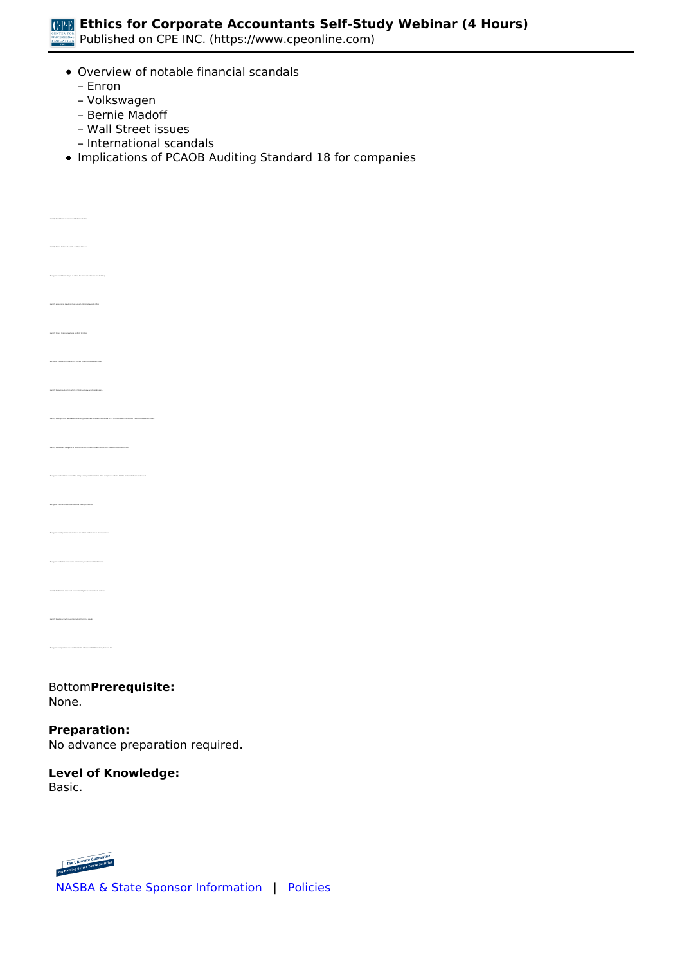

*Published on CPE INC. (https://www.cpeonline.com)*

- *Overview of notable financial scandals*
	- *Enron*

*• Recognize the different stages of ethical development articulated by Kohlberg*

*• Recognize the primary layout of the AICPA's Code of Professional Conduct*

*• Recognize the characteristics of effective employee hotlines*

*• Recognize the steps to be taken when in an ethical conflict with no obvious solution* 

*• Identify the financial statement preparer's obligations to the outside auditors*

*• Identify the steps to be taken when attempting to eliminate or reduce threats to a CPA's compliance with the AICPA's Code of Professional Conduct*

- *Volkswagen*
- *Bernie Madoff*
- *Wall Street issues*
- *International scandals*
- *Implications of PCAOB Auditing Standard 18 for companies*

*Bottom***Prerequisite:**  *None.*

**Preparation:**  *No advance preparation required.*

#### **Level of Knowledge:**  *Basic.*